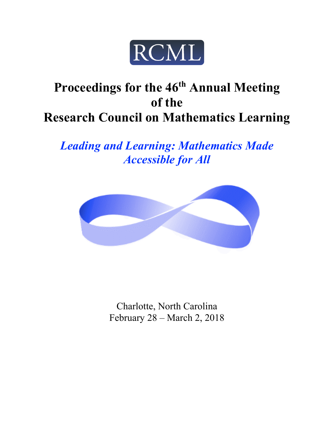

# Proceedings for the 46<sup>th</sup> Annual Meeting **of the Research Council on Mathematics Learning**

*Leading and Learning: Mathematics Made Accessible for All*



Charlotte, North Carolina February 28 – March 2, 2018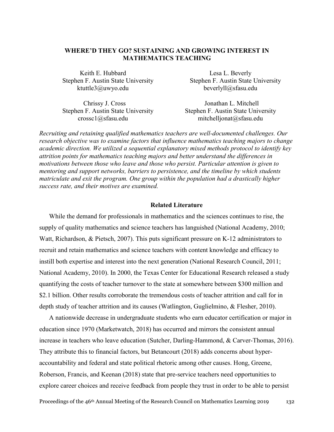# **WHERE'D THEY GO? SUSTAINING AND GROWING INTEREST IN MATHEMATICS TEACHING**

Keith E. Hubbard Lesa L. Beverly Stephen F. Austin State University ktuttle3@uwyo.edu

Stephen F. Austin State University beverlyll@sfasu.edu

Chrissy J. Cross Stephen F. Austin State University crossc1@sfasu.edu

Jonathan L. Mitchell Stephen F. Austin State University mitchelljonat@sfasu.edu

*Recruiting and retaining qualified mathematics teachers are well-documented challenges. Our research objective was to examine factors that influence mathematics teaching majors to change academic direction. We utilized a sequential explanatory mixed methods protocol to identify key attrition points for mathematics teaching majors and better understand the differences in motivations between those who leave and those who persist. Particular attention is given to mentoring and support networks, barriers to persistence, and the timeline by which students matriculate and exit the program. One group within the population had a drastically higher success rate, and their motives are examined.*

#### **Related Literature**

While the demand for professionals in mathematics and the sciences continues to rise, the supply of quality mathematics and science teachers has languished (National Academy, 2010; Watt, Richardson, & Pietsch, 2007). This puts significant pressure on K-12 administrators to recruit and retain mathematics and science teachers with content knowledge and efficacy to instill both expertise and interest into the next generation (National Research Council, 2011; National Academy, 2010). In 2000, the Texas Center for Educational Research released a study quantifying the costs of teacher turnover to the state at somewhere between \$300 million and \$2.1 billion. Other results corroborate the tremendous costs of teacher attrition and call for in depth study of teacher attrition and its causes (Watlington, Guglielmino, & Flesher, 2010).

A nationwide decrease in undergraduate students who earn educator certification or major in education since 1970 (Marketwatch, 2018) has occurred and mirrors the consistent annual increase in teachers who leave education (Sutcher, Darling-Hammond, & Carver-Thomas, 2016). They attribute this to financial factors, but Betancourt (2018) adds concerns about hyperaccountability and federal and state political rhetoric among other causes. Hong, Greene, Roberson, Francis, and Keenan (2018) state that pre-service teachers need opportunities to explore career choices and receive feedback from people they trust in order to be able to persist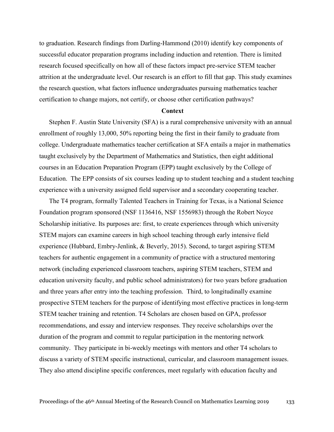to graduation. Research findings from Darling-Hammond (2010) identify key components of successful educator preparation programs including induction and retention. There is limited research focused specifically on how all of these factors impact pre-service STEM teacher attrition at the undergraduate level. Our research is an effort to fill that gap. This study examines the research question, what factors influence undergraduates pursuing mathematics teacher certification to change majors, not certify, or choose other certification pathways?

## **Context**

Stephen F. Austin State University (SFA) is a rural comprehensive university with an annual enrollment of roughly 13,000, 50% reporting being the first in their family to graduate from college. Undergraduate mathematics teacher certification at SFA entails a major in mathematics taught exclusively by the Department of Mathematics and Statistics, then eight additional courses in an Education Preparation Program (EPP) taught exclusively by the College of Education. The EPP consists of six courses leading up to student teaching and a student teaching experience with a university assigned field supervisor and a secondary cooperating teacher.

The T4 program, formally Talented Teachers in Training for Texas, is a National Science Foundation program sponsored (NSF 1136416, NSF 1556983) through the Robert Noyce Scholarship initiative. Its purposes are: first, to create experiences through which university STEM majors can examine careers in high school teaching through early intensive field experience (Hubbard, Embry-Jenlink, & Beverly, 2015). Second, to target aspiring STEM teachers for authentic engagement in a community of practice with a structured mentoring network (including experienced classroom teachers, aspiring STEM teachers, STEM and education university faculty, and public school administrators) for two years before graduation and three years after entry into the teaching profession. Third, to longitudinally examine prospective STEM teachers for the purpose of identifying most effective practices in long-term STEM teacher training and retention. T4 Scholars are chosen based on GPA, professor recommendations, and essay and interview responses. They receive scholarships over the duration of the program and commit to regular participation in the mentoring network community. They participate in bi-weekly meetings with mentors and other T4 scholars to discuss a variety of STEM specific instructional, curricular, and classroom management issues. They also attend discipline specific conferences, meet regularly with education faculty and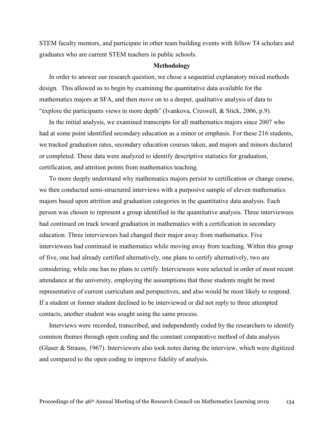STEM faculty mentors, and participate in other team building events with fellow T4 scholars and graduates who are current STEM teachers in public schools.

#### **Methodology**

In order to answer our research question, we chose a sequential explanatory mixed methods design. This allowed us to begin by examining the quantitative data available for the mathematics majors at SFA, and then move on to a deeper, qualitative analysis of data to "explore the participants views in more depth" (Ivankova, Creswell, & Stick, 2006, p.9).

In the initial analysis, we examined transcripts for all mathematics majors since 2007 who had at some point identified secondary education as a minor or emphasis. For these 216 students, we tracked graduation rates, secondary education courses taken, and majors and minors declared or completed. These data were analyzed to identify descriptive statistics for graduation, certification, and attrition points from mathematics teaching.

To more deeply understand why mathematics majors persist to certification or change course, we then conducted semi-structured interviews with a purposive sample of eleven mathematics majors based upon attrition and graduation categories in the quantitative data analysis. Each person was chosen to represent a group identified in the quantitative analysis. Three interviewees had continued on track toward graduation in mathematics with a certification in secondary education. Three interviewees had changed their major away from mathematics. Five interviewees had continued in mathematics while moving away from teaching. Within this group of five, one had already certified alternatively, one plans to certify alternatively, two are considering, while one has no plans to certify. Interviewees were selected in order of most recent attendance at the university, employing the assumptions that these students might be most representative of current curriculum and perspectives, and also would be most likely to respond. If a student or former student declined to be interviewed or did not reply to three attempted contacts, another student was sought using the same process.

Interviews were recorded, transcribed, and independently coded by the researchers to identify common themes through open coding and the constant comparative method of data analysis (Glaser & Strauss, 1967). Interviewers also took notes during the interview, which were digitized and compared to the open coding to improve fidelity of analysis.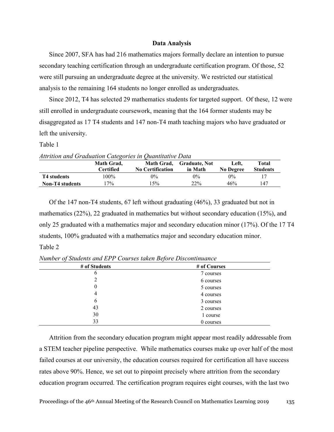## **Data Analysis**

Since 2007, SFA has had 216 mathematics majors formally declare an intention to pursue secondary teaching certification through an undergraduate certification program. Of those, 52 were still pursuing an undergraduate degree at the university. We restricted our statistical analysis to the remaining 164 students no longer enrolled as undergraduates.

Since 2012, T4 has selected 29 mathematics students for targeted support. Of these, 12 were still enrolled in undergraduate coursework, meaning that the 164 former students may be disaggregated as 17 T4 students and 147 non-T4 math teaching majors who have graduated or left the university.

Table 1

|                        | Math Grad,       |                         | Math Grad, Graduate, Not | Left.     | Total           |
|------------------------|------------------|-------------------------|--------------------------|-----------|-----------------|
|                        | <b>Certified</b> | <b>No Certification</b> | in Math                  | No Degree | <b>Students</b> |
| T4 students            | 100%             | 0%                      | $0\%$                    | 0%        | 17              |
| <b>Non-T4</b> students | $7\%$            | 15%                     | 22%                      | 46%       | 147             |

*Attrition and Graduation Categories in Quantitative Data*

Of the 147 non-T4 students, 67 left without graduating (46%), 33 graduated but not in mathematics (22%), 22 graduated in mathematics but without secondary education (15%), and only 25 graduated with a mathematics major and secondary education minor (17%). Of the 17 T4 students, 100% graduated with a mathematics major and secondary education minor. Table 2

| # of Students | # of Courses |
|---------------|--------------|
| O             | 7 courses    |
|               | 6 courses    |
| 0             | 5 courses    |
| 4             | 4 courses    |
| $\mathfrak b$ | 3 courses    |
| 43            | 2 courses    |
| 30            | 1 course     |
| 33            | 0 courses    |

*Number of Students and EPP Courses taken Before Discontinuance*

Attrition from the secondary education program might appear most readily addressable from a STEM teacher pipeline perspective. While mathematics courses make up over half of the most failed courses at our university, the education courses required for certification all have success rates above 90%. Hence, we set out to pinpoint precisely where attrition from the secondary education program occurred. The certification program requires eight courses, with the last two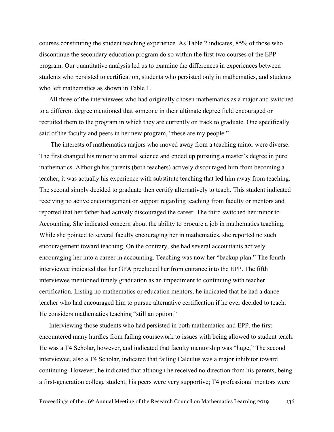courses constituting the student teaching experience. As Table 2 indicates, 85% of those who discontinue the secondary education program do so within the first two courses of the EPP program. Our quantitative analysis led us to examine the differences in experiences between students who persisted to certification, students who persisted only in mathematics, and students who left mathematics as shown in Table 1.

All three of the interviewees who had originally chosen mathematics as a major and switched to a different degree mentioned that someone in their ultimate degree field encouraged or recruited them to the program in which they are currently on track to graduate. One specifically said of the faculty and peers in her new program, "these are my people."

The interests of mathematics majors who moved away from a teaching minor were diverse. The first changed his minor to animal science and ended up pursuing a master's degree in pure mathematics. Although his parents (both teachers) actively discouraged him from becoming a teacher, it was actually his experience with substitute teaching that led him away from teaching. The second simply decided to graduate then certify alternatively to teach. This student indicated receiving no active encouragement or support regarding teaching from faculty or mentors and reported that her father had actively discouraged the career. The third switched her minor to Accounting. She indicated concern about the ability to procure a job in mathematics teaching. While she pointed to several faculty encouraging her in mathematics, she reported no such encouragement toward teaching. On the contrary, she had several accountants actively encouraging her into a career in accounting. Teaching was now her "backup plan." The fourth interviewee indicated that her GPA precluded her from entrance into the EPP. The fifth interviewee mentioned timely graduation as an impediment to continuing with teacher certification. Listing no mathematics or education mentors, he indicated that he had a dance teacher who had encouraged him to pursue alternative certification if he ever decided to teach. He considers mathematics teaching "still an option."

Interviewing those students who had persisted in both mathematics and EPP, the first encountered many hurdles from failing coursework to issues with being allowed to student teach. He was a T4 Scholar, however, and indicated that faculty mentorship was "huge," The second interviewee, also a T4 Scholar, indicated that failing Calculus was a major inhibitor toward continuing. However, he indicated that although he received no direction from his parents, being a first-generation college student, his peers were very supportive; T4 professional mentors were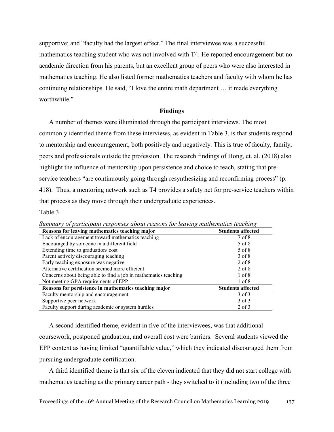supportive; and "faculty had the largest effect." The final interviewee was a successful mathematics teaching student who was not involved with T4. He reported encouragement but no academic direction from his parents, but an excellent group of peers who were also interested in mathematics teaching. He also listed former mathematics teachers and faculty with whom he has continuing relationships. He said, "I love the entire math department … it made everything worthwhile."

## **Findings**

A number of themes were illuminated through the participant interviews. The most commonly identified theme from these interviews, as evident in Table 3, is that students respond to mentorship and encouragement, both positively and negatively. This is true of faculty, family, peers and professionals outside the profession. The research findings of Hong, et. al. (2018) also highlight the influence of mentorship upon persistence and choice to teach, stating that preservice teachers "are continuously going through resynthesizing and reconfirming process" (p. 418). Thus, a mentoring network such as T4 provides a safety net for pre-service teachers within that process as they move through their undergraduate experiences.

#### Table 3

| Reasons for leaving mathematics teaching major                  | <b>Students affected</b> |
|-----------------------------------------------------------------|--------------------------|
| Lack of encouragement toward mathematics teaching               | $7$ of $8$               |
| Encouraged by someone in a different field                      | 5 of 8                   |
| Extending time to graduation/cost                               | 5 of 8                   |
| Parent actively discouraging teaching                           | $3$ of $8$               |
| Early teaching exposure was negative                            | $2$ of $8$               |
| Alternative certification seemed more efficient                 | $2$ of $8$               |
| Concerns about being able to find a job in mathematics teaching | $1$ of $8$               |
| Not meeting GPA requirements of EPP                             | $1$ of $8$               |
| Reasons for persistence in mathematics teaching major           | <b>Students affected</b> |
| Faculty mentorship and encouragement                            | $3$ of $3$               |
| Supportive peer network                                         | $3$ of $3$               |
| Faculty support during academic or system hurdles               | $2$ of $3$               |

*Summary of participant responses about reasons for leaving mathematics teaching*

A second identified theme, evident in five of the interviewees, was that additional coursework, postponed graduation, and overall cost were barriers. Several students viewed the EPP content as having limited "quantifiable value," which they indicated discouraged them from pursuing undergraduate certification.

A third identified theme is that six of the eleven indicated that they did not start college with mathematics teaching as the primary career path - they switched to it (including two of the three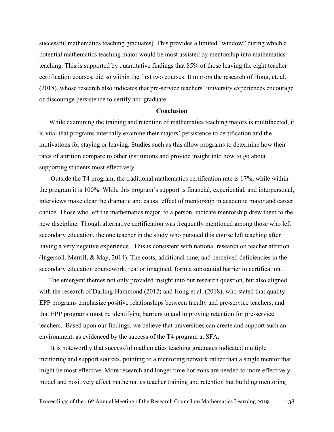successful mathematics teaching graduates). This provides a limited "window" during which a potential mathematics teaching major would be most assisted by mentorship into mathematics teaching. This is supported by quantitative findings that 85% of those leaving the eight teacher certification courses, did so within the first two courses. It mirrors the research of Hong, et. al. (2018), whose research also indicates that pre-service teachers' university experiences encourage or discourage persistence to certify and graduate.

## **Conclusion**

While examining the training and retention of mathematics teaching majors is multifaceted, it is vital that programs internally examine their majors' persistence to certification and the motivations for staying or leaving. Studies such as this allow programs to determine how their rates of attrition compare to other institutions and provide insight into how to go about supporting students most effectively.

Outside the T4 program, the traditional mathematics certification rate is 17%, while within the program it is 100%. While this program's support is financial, experiential, and interpersonal, interviews make clear the dramatic and causal effect of mentorship in academic major and career choice. Those who left the mathematics major, to a person, indicate mentorship drew them to the new discipline. Though alternative certification was frequently mentioned among those who left secondary education, the one teacher in the study who pursued this course left teaching after having a very negative experience. This is consistent with national research on teacher attrition (Ingersoll, Merrill, & May, 2014). The costs, additional time, and perceived deficiencies in the secondary education coursework, real or imagined, form a substantial barrier to certification.

The emergent themes not only provided insight into our research question, but also aligned with the research of Darling-Hammond (2012) and Hong et al. (2018), who stated that quality EPP programs emphasize positive relationships between faculty and pre-service teachers, and that EPP programs must be identifying barriers to and improving retention for pre-service teachers. Based upon our findings, we believe that universities can create and support such an environment, as evidenced by the success of the T4 program at SFA.

It is noteworthy that successful mathematics teaching graduates indicated multiple mentoring and support sources, pointing to a mentoring network rather than a single mentor that might be most effective. More research and longer time horizons are needed to more effectively model and positively affect mathematics teacher training and retention but building mentoring